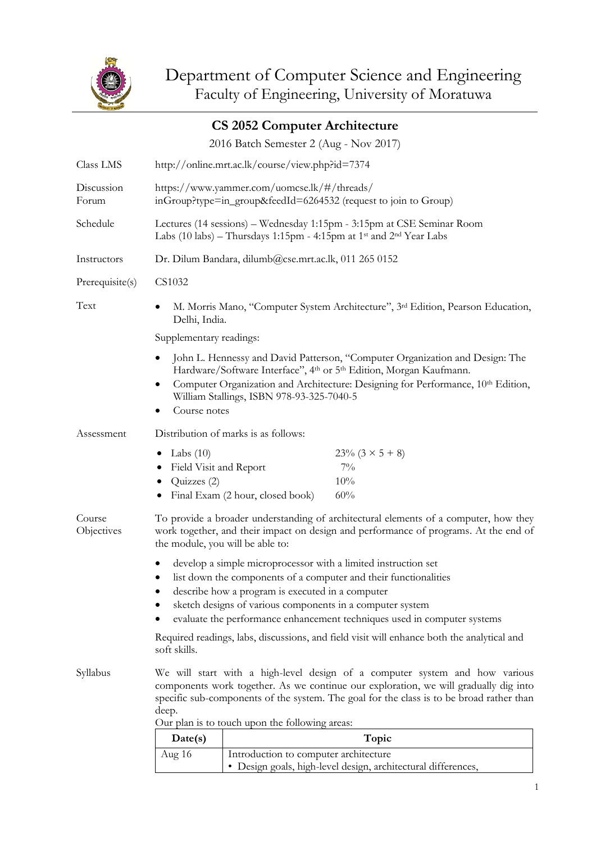

|                      |                                                                                                                                                                                                                                                                                                                                                                                                                               | <b>CS 2052 Computer Architecture</b>                                                                                                                                  |                                                               |  |  |  |
|----------------------|-------------------------------------------------------------------------------------------------------------------------------------------------------------------------------------------------------------------------------------------------------------------------------------------------------------------------------------------------------------------------------------------------------------------------------|-----------------------------------------------------------------------------------------------------------------------------------------------------------------------|---------------------------------------------------------------|--|--|--|
|                      |                                                                                                                                                                                                                                                                                                                                                                                                                               | 2016 Batch Semester 2 (Aug - Nov 2017)                                                                                                                                |                                                               |  |  |  |
| Class LMS            | http://online.mrt.ac.lk/course/view.php?id=7374                                                                                                                                                                                                                                                                                                                                                                               |                                                                                                                                                                       |                                                               |  |  |  |
| Discussion<br>Forum  | https://www.yammer.com/uomcse.lk/#/threads/<br>inGroup?type=in_group&feedId=6264532 (request to join to Group)                                                                                                                                                                                                                                                                                                                |                                                                                                                                                                       |                                                               |  |  |  |
| Schedule             |                                                                                                                                                                                                                                                                                                                                                                                                                               | Lectures (14 sessions) – Wednesday 1:15pm - 3:15pm at CSE Seminar Room<br>Labs (10 labs) – Thursdays 1:15pm - 4:15pm at 1 <sup>st</sup> and 2 <sup>nd</sup> Year Labs |                                                               |  |  |  |
| Instructors          | Dr. Dilum Bandara, dilumb@cse.mrt.ac.lk, 011 265 0152                                                                                                                                                                                                                                                                                                                                                                         |                                                                                                                                                                       |                                                               |  |  |  |
| Prerequisite(s)      | CS1032                                                                                                                                                                                                                                                                                                                                                                                                                        |                                                                                                                                                                       |                                                               |  |  |  |
| Text                 | M. Morris Mano, "Computer System Architecture", 3rd Edition, Pearson Education,<br>Delhi, India.                                                                                                                                                                                                                                                                                                                              |                                                                                                                                                                       |                                                               |  |  |  |
|                      | Supplementary readings:                                                                                                                                                                                                                                                                                                                                                                                                       |                                                                                                                                                                       |                                                               |  |  |  |
|                      | John L. Hennessy and David Patterson, "Computer Organization and Design: The<br>Hardware/Software Interface", 4th or 5th Edition, Morgan Kaufmann.<br>Computer Organization and Architecture: Designing for Performance, 10th Edition,<br>William Stallings, ISBN 978-93-325-7040-5<br>Course notes                                                                                                                           |                                                                                                                                                                       |                                                               |  |  |  |
| Assessment           | Distribution of marks is as follows:                                                                                                                                                                                                                                                                                                                                                                                          |                                                                                                                                                                       |                                                               |  |  |  |
|                      | Labs $(10)$<br>٠<br>Field Visit and Report<br>$\bullet$<br>Quizzes (2)                                                                                                                                                                                                                                                                                                                                                        | Final Exam (2 hour, closed book)                                                                                                                                      | $23\% (3 \times 5 + 8)$<br>$7\%$<br>10%<br>60%                |  |  |  |
| Course<br>Objectives | To provide a broader understanding of architectural elements of a computer, how they<br>work together, and their impact on design and performance of programs. At the end of<br>the module, you will be able to:                                                                                                                                                                                                              |                                                                                                                                                                       |                                                               |  |  |  |
|                      | develop a simple microprocessor with a limited instruction set<br>list down the components of a computer and their functionalities<br>describe how a program is executed in a computer<br>sketch designs of various components in a computer system<br>evaluate the performance enhancement techniques used in computer systems<br>Required readings, labs, discussions, and field visit will enhance both the analytical and |                                                                                                                                                                       |                                                               |  |  |  |
|                      | soft skills.                                                                                                                                                                                                                                                                                                                                                                                                                  |                                                                                                                                                                       |                                                               |  |  |  |
| Syllabus             | We will start with a high-level design of a computer system and how various<br>components work together. As we continue our exploration, we will gradually dig into<br>specific sub-components of the system. The goal for the class is to be broad rather than<br>deep.<br>Our plan is to touch upon the following areas:                                                                                                    |                                                                                                                                                                       |                                                               |  |  |  |
|                      | Date(s)                                                                                                                                                                                                                                                                                                                                                                                                                       |                                                                                                                                                                       | Topic                                                         |  |  |  |
|                      | Aug 16                                                                                                                                                                                                                                                                                                                                                                                                                        | Introduction to computer architecture                                                                                                                                 | · Design goals, high-level design, architectural differences, |  |  |  |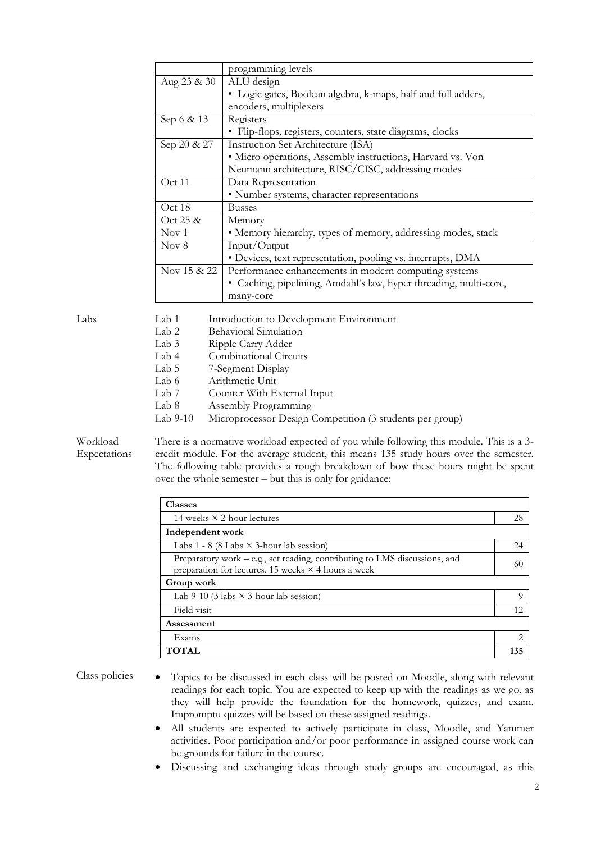|                  | programming levels                                                |
|------------------|-------------------------------------------------------------------|
| Aug 23 & 30      | ALU design                                                        |
|                  | • Logic gates, Boolean algebra, k-maps, half and full adders,     |
|                  | encoders, multiplexers                                            |
| Sep 6 & 13       | Registers                                                         |
|                  | • Flip-flops, registers, counters, state diagrams, clocks         |
| Sep 20 & 27      | Instruction Set Architecture (ISA)                                |
|                  | • Micro operations, Assembly instructions, Harvard vs. Von        |
|                  | Neumann architecture, RISC/CISC, addressing modes                 |
| Oct 11           | Data Representation                                               |
|                  | • Number systems, character representations                       |
| Oct 18           | Busses                                                            |
| Oct $25 \&$      | Memory                                                            |
| Nov <sub>1</sub> | • Memory hierarchy, types of memory, addressing modes, stack      |
| Nov 8            | Input/Output                                                      |
|                  | • Devices, text representation, pooling vs. interrupts, DMA       |
| Nov 15 & 22      | Performance enhancements in modern computing systems              |
|                  | • Caching, pipelining, Amdahl's law, hyper threading, multi-core, |
|                  | many-core                                                         |

| Labs | Lab 1      | Introduction to Development Environment                  |
|------|------------|----------------------------------------------------------|
|      | Lab 2      | Behavioral Simulation                                    |
|      | Lab 3      | Ripple Carry Adder                                       |
|      | Lab 4      | Combinational Circuits                                   |
|      | Lab 5      | 7-Segment Display                                        |
|      | Lab 6      | Arithmetic Unit                                          |
|      | Lab 7      | Counter With External Input                              |
|      | Lab 8      | Assembly Programming                                     |
|      | Lab $9-10$ | Microprocessor Design Competition (3 students per group) |
|      |            |                                                          |

Workload Expectations

There is a normative workload expected of you while following this module. This is a 3 credit module. For the average student, this means 135 study hours over the semester. The following table provides a rough breakdown of how these hours might be spent over the whole semester – but this is only for guidance:

| <b>Classes</b>                                                                                                                           |          |  |  |  |
|------------------------------------------------------------------------------------------------------------------------------------------|----------|--|--|--|
| 14 weeks $\times$ 2-hour lectures                                                                                                        | 28       |  |  |  |
| Independent work                                                                                                                         |          |  |  |  |
| Labs 1 - 8 (8 Labs $\times$ 3-hour lab session)                                                                                          | 24       |  |  |  |
| Preparatory work - e.g., set reading, contributing to LMS discussions, and<br>preparation for lectures. 15 weeks $\times$ 4 hours a week | 60       |  |  |  |
| Group work                                                                                                                               |          |  |  |  |
| Lab 9-10 (3 labs $\times$ 3-hour lab session)                                                                                            | $\Omega$ |  |  |  |
| Field visit                                                                                                                              | 12       |  |  |  |
| Assessment                                                                                                                               |          |  |  |  |
| Exams                                                                                                                                    | っ        |  |  |  |
| <b>TOTAL</b>                                                                                                                             | 135      |  |  |  |

- Class policies Topics to be discussed in each class will be posted on Moodle, along with relevant readings for each topic. You are expected to keep up with the readings as we go, as they will help provide the foundation for the homework, quizzes, and exam. Impromptu quizzes will be based on these assigned readings.
	- All students are expected to actively participate in class, Moodle, and Yammer activities. Poor participation and/or poor performance in assigned course work can be grounds for failure in the course.
	- Discussing and exchanging ideas through study groups are encouraged, as this